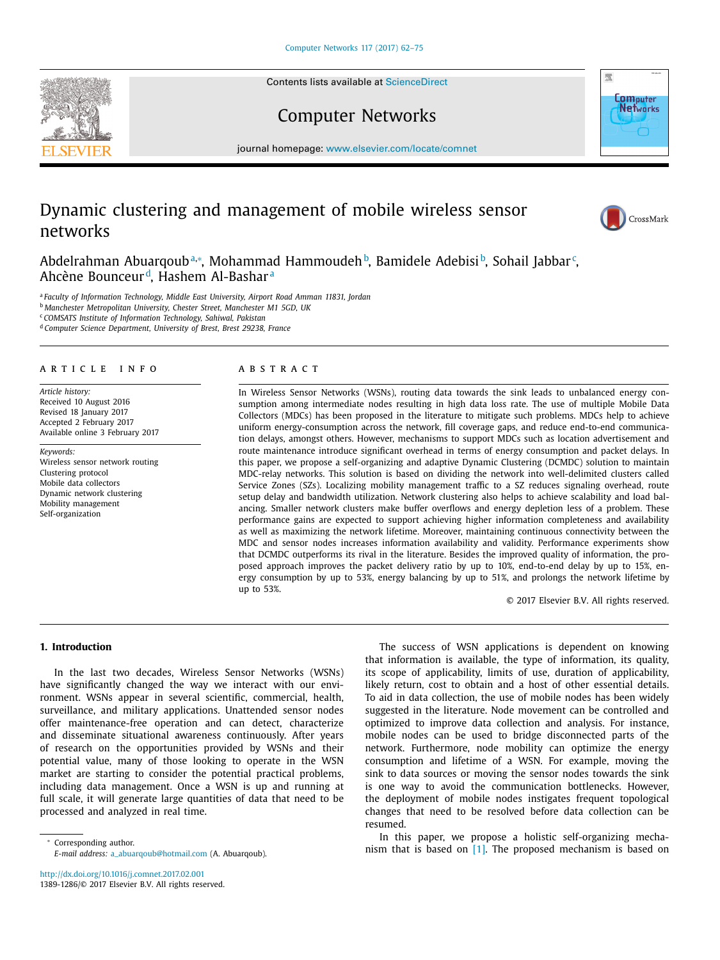Contents lists available at [ScienceDirect](http://www.ScienceDirect.com)





Computer Networks

journal homepage: [www.elsevier.com/locate/comnet](http://www.elsevier.com/locate/comnet)

# Dynamic clustering and management of mobile wireless sensor networks



Abdelrahman Abuarqoubª\*, Mohammad Hammoudeh b, Bamidele Adebisi b, Sohail Jabbar <sup>c</sup>, Ahcène Bounceur d, Hashem Al-Bashar <sup>a</sup>

<sup>a</sup> *Faculty of Information Technology, Middle East University, Airport Road Amman 11831, Jordan*

<sup>b</sup> *Manchester Metropolitan University, Chester Street, Manchester M1 5GD, UK*

<sup>c</sup> *COMSATS Institute of Information Technology, Sahiwal, Pakistan*

<sup>d</sup> *Computer Science Department, University of Brest, Brest 29238, France*

### a r t i c l e i n f o

*Article history:* Received 10 August 2016 Revised 18 January 2017 Accepted 2 February 2017 Available online 3 February 2017

*Keywords:* Wireless sensor network routing Clustering protocol Mobile data collectors Dynamic network clustering Mobility management Self-organization

#### a b s t r a c t

In Wireless Sensor Networks (WSNs), routing data towards the sink leads to unbalanced energy consumption among intermediate nodes resulting in high data loss rate. The use of multiple Mobile Data Collectors (MDCs) has been proposed in the literature to mitigate such problems. MDCs help to achieve uniform energy-consumption across the network, fill coverage gaps, and reduce end-to-end communication delays, amongst others. However, mechanisms to support MDCs such as location advertisement and route maintenance introduce significant overhead in terms of energy consumption and packet delays. In this paper, we propose a self-organizing and adaptive Dynamic Clustering (DCMDC) solution to maintain MDC-relay networks. This solution is based on dividing the network into well-delimited clusters called Service Zones (SZs). Localizing mobility management traffic to a SZ reduces signaling overhead, route setup delay and bandwidth utilization. Network clustering also helps to achieve scalability and load balancing. Smaller network clusters make buffer overflows and energy depletion less of a problem. These performance gains are expected to support achieving higher information completeness and availability as well as maximizing the network lifetime. Moreover, maintaining continuous connectivity between the MDC and sensor nodes increases information availability and validity. Performance experiments show that DCMDC outperforms its rival in the literature. Besides the improved quality of information, the proposed approach improves the packet delivery ratio by up to 10%, end-to-end delay by up to 15%, energy consumption by up to 53%, energy balancing by up to 51%, and prolongs the network lifetime by up to 53%.

© 2017 Elsevier B.V. All rights reserved.

## **1. Introduction**

In the last two decades, Wireless Sensor Networks (WSNs) have significantly changed the way we interact with our environment. WSNs appear in several scientific, commercial, health, surveillance, and military applications. Unattended sensor nodes offer maintenance-free operation and can detect, characterize and disseminate situational awareness continuously. After years of research on the opportunities provided by WSNs and their potential value, many of those looking to operate in the WSN market are starting to consider the potential practical problems, including data management. Once a WSN is up and running at full scale, it will generate large quantities of data that need to be processed and analyzed in real time.

<sup>∗</sup> Corresponding author.

<http://dx.doi.org/10.1016/j.comnet.2017.02.001> 1389-1286/© 2017 Elsevier B.V. All rights reserved.

The success of WSN applications is dependent on knowing that information is available, the type of information, its quality, its scope of applicability, limits of use, duration of applicability, likely return, cost to obtain and a host of other essential details. To aid in data collection, the use of mobile nodes has been widely suggested in the literature. Node movement can be controlled and optimized to improve data collection and analysis. For instance, mobile nodes can be used to bridge disconnected parts of the network. Furthermore, node mobility can optimize the energy consumption and lifetime of a WSN. For example, moving the sink to data sources or moving the sensor nodes towards the sink is one way to avoid the communication bottlenecks. However, the deployment of mobile nodes instigates frequent topological changes that need to be resolved before data collection can be resumed.

In this paper, we propose a holistic self-organizing mechanism that is based on [\[1\].](#page--1-0) The proposed mechanism is based on

*E-mail address:* [a\\_abuarqoub@hotmail.com](mailto:a_abuarqoub@hotmail.com) (A. Abuarqoub).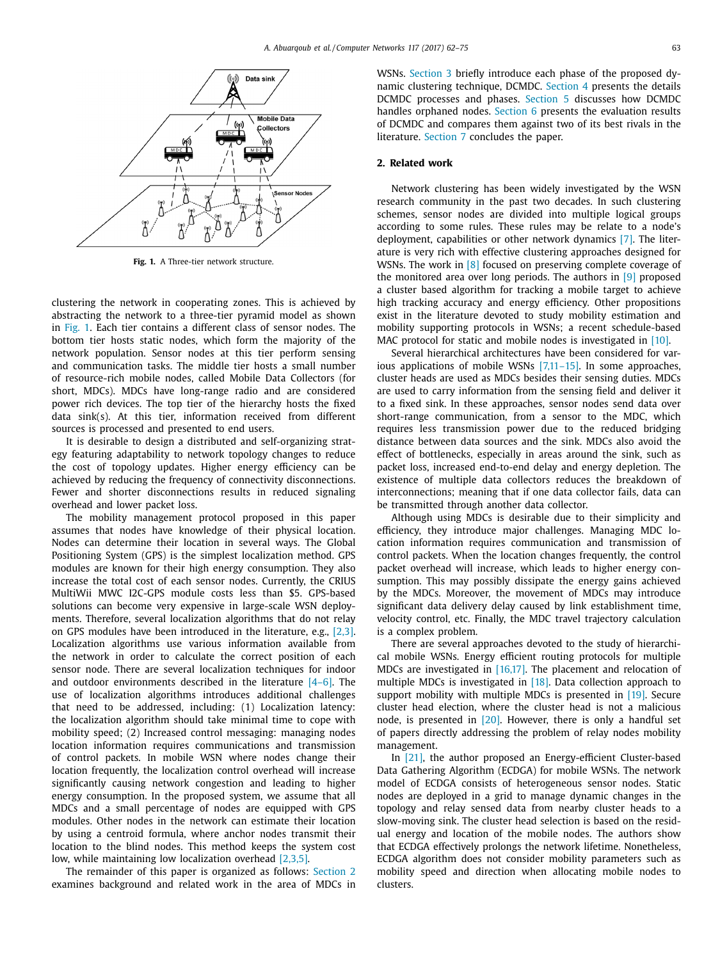

**Fig. 1.** A Three-tier network structure.

clustering the network in cooperating zones. This is achieved by abstracting the network to a three-tier pyramid model as shown in Fig. 1. Each tier contains a different class of sensor nodes. The bottom tier hosts static nodes, which form the majority of the network population. Sensor nodes at this tier perform sensing and communication tasks. The middle tier hosts a small number of resource-rich mobile nodes, called Mobile Data Collectors (for short, MDCs). MDCs have long-range radio and are considered power rich devices. The top tier of the hierarchy hosts the fixed data sink(s). At this tier, information received from different sources is processed and presented to end users.

It is desirable to design a distributed and self-organizing strategy featuring adaptability to network topology changes to reduce the cost of topology updates. Higher energy efficiency can be achieved by reducing the frequency of connectivity disconnections. Fewer and shorter disconnections results in reduced signaling overhead and lower packet loss.

The mobility management protocol proposed in this paper assumes that nodes have knowledge of their physical location. Nodes can determine their location in several ways. The Global Positioning System (GPS) is the simplest localization method. GPS modules are known for their high energy consumption. They also increase the total cost of each sensor nodes. Currently, the CRIUS MultiWii MWC I2C-GPS module costs less than \$5. GPS-based solutions can become very expensive in large-scale WSN deployments. Therefore, several localization algorithms that do not relay on GPS modules have been introduced in the literature, e.g., [\[2,3\].](#page--1-0) Localization algorithms use various information available from the network in order to calculate the correct position of each sensor node. There are several localization techniques for indoor and outdoor environments described in the literature [\[4–6\].](#page--1-0) The use of localization algorithms introduces additional challenges that need to be addressed, including: (1) Localization latency: the localization algorithm should take minimal time to cope with mobility speed; (2) Increased control messaging: managing nodes location information requires communications and transmission of control packets. In mobile WSN where nodes change their location frequently, the localization control overhead will increase significantly causing network congestion and leading to higher energy consumption. In the proposed system, we assume that all MDCs and a small percentage of nodes are equipped with GPS modules. Other nodes in the network can estimate their location by using a centroid formula, where anchor nodes transmit their location to the blind nodes. This method keeps the system cost low, while maintaining low localization overhead [\[2,3,5\].](#page--1-0)

The remainder of this paper is organized as follows: Section 2 examines background and related work in the area of MDCs in WSNs. [Section](#page--1-0) 3 briefly introduce each phase of the proposed dynamic clustering technique, DCMDC. [Section](#page--1-0) 4 presents the details DCMDC processes and phases. [Section](#page--1-0) 5 discusses how DCMDC handles orphaned nodes. [Section](#page--1-0) 6 presents the evaluation results of DCMDC and compares them against two of its best rivals in the literature. [Section](#page--1-0) 7 concludes the paper.

#### **2. Related work**

Network clustering has been widely investigated by the WSN research community in the past two decades. In such clustering schemes, sensor nodes are divided into multiple logical groups according to some rules. These rules may be relate to a node's deployment, capabilities or other network dynamics [\[7\].](#page--1-0) The literature is very rich with effective clustering approaches designed for WSNs. The work in [\[8\]](#page--1-0) focused on preserving complete coverage of the monitored area over long periods. The authors in  $[9]$  proposed a cluster based algorithm for tracking a mobile target to achieve high tracking accuracy and energy efficiency. Other propositions exist in the literature devoted to study mobility estimation and mobility supporting protocols in WSNs; a recent schedule-based MAC protocol for static and mobile nodes is investigated in [\[10\].](#page--1-0)

Several hierarchical architectures have been considered for various applications of mobile WSNs [\[7,11–15\].](#page--1-0) In some approaches, cluster heads are used as MDCs besides their sensing duties. MDCs are used to carry information from the sensing field and deliver it to a fixed sink. In these approaches, sensor nodes send data over short-range communication, from a sensor to the MDC, which requires less transmission power due to the reduced bridging distance between data sources and the sink. MDCs also avoid the effect of bottlenecks, especially in areas around the sink, such as packet loss, increased end-to-end delay and energy depletion. The existence of multiple data collectors reduces the breakdown of interconnections; meaning that if one data collector fails, data can be transmitted through another data collector.

Although using MDCs is desirable due to their simplicity and efficiency, they introduce major challenges. Managing MDC location information requires communication and transmission of control packets. When the location changes frequently, the control packet overhead will increase, which leads to higher energy consumption. This may possibly dissipate the energy gains achieved by the MDCs. Moreover, the movement of MDCs may introduce significant data delivery delay caused by link establishment time, velocity control, etc. Finally, the MDC travel trajectory calculation is a complex problem.

There are several approaches devoted to the study of hierarchical mobile WSNs. Energy efficient routing protocols for multiple MDCs are investigated in [\[16,17\].](#page--1-0) The placement and relocation of multiple MDCs is investigated in [\[18\].](#page--1-0) Data collection approach to support mobility with multiple MDCs is presented in [\[19\].](#page--1-0) Secure cluster head election, where the cluster head is not a malicious node, is presented in [\[20\].](#page--1-0) However, there is only a handful set of papers directly addressing the problem of relay nodes mobility management.

In [\[21\],](#page--1-0) the author proposed an Energy-efficient Cluster-based Data Gathering Algorithm (ECDGA) for mobile WSNs. The network model of ECDGA consists of heterogeneous sensor nodes. Static nodes are deployed in a grid to manage dynamic changes in the topology and relay sensed data from nearby cluster heads to a slow-moving sink. The cluster head selection is based on the residual energy and location of the mobile nodes. The authors show that ECDGA effectively prolongs the network lifetime. Nonetheless, ECDGA algorithm does not consider mobility parameters such as mobility speed and direction when allocating mobile nodes to clusters.